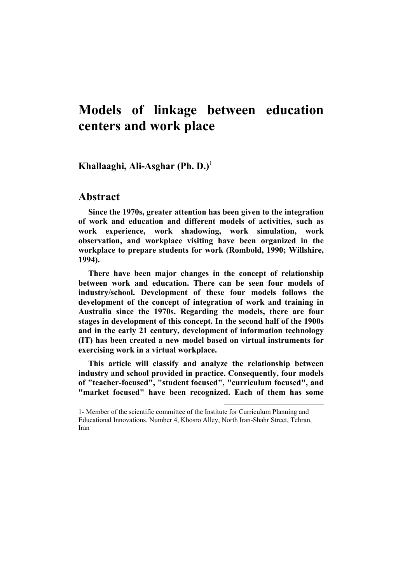# **Models of linkage between education centers and work place**

**Khallaaghi, Ali-Asghar (Ph. D.)**<sup>1</sup>

# **Abstract**

**Since the 1970s, greater attention has been given to the integration of work and education and different models of activities, such as work experience, work shadowing, work simulation, work observation, and workplace visiting have been organized in the workplace to prepare students for work (Rombold, 1990; Willshire, 1994).** 

**There have been major changes in the concept of relationship between work and education. There can be seen four models of industry/school. Development of these four models follows the development of the concept of integration of work and training in Australia since the 1970s. Regarding the models, there are four stages in development of this concept. In the second half of the 1900s and in the early 21 century, development of information technology (IT) has been created a new model based on virtual instruments for exercising work in a virtual workplace.** 

**This article will classify and analyze the relationship between industry and school provided in practice. Consequently, four models of "teacher-focused", "student focused", "curriculum focused", and "market focused" have been recognized. Each of them has some** 

 $\overline{\phantom{a}}$ 

<sup>1-</sup> Member of the scientific committee of the Institute for Curriculum Planning and Educational Innovations. Number 4, Khosro Alley, North Iran-Shahr Street, Tehran, Iran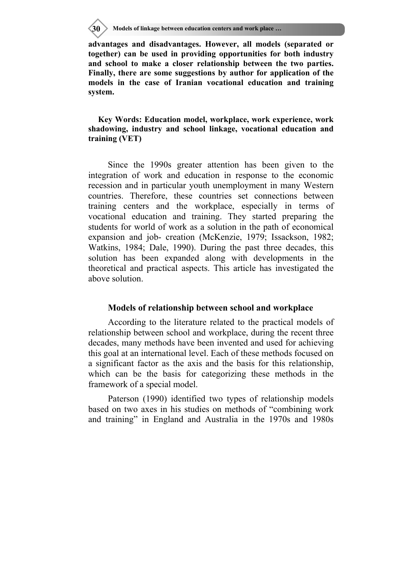**30 Models of linkage between education centers and work place …**

**advantages and disadvantages. However, all models (separated or together) can be used in providing opportunities for both industry and school to make a closer relationship between the two parties. Finally, there are some suggestions by author for application of the models in the case of Iranian vocational education and training system.** 

**Key Words: Education model, workplace, work experience, work shadowing, industry and school linkage, vocational education and training (VET)** 

Since the 1990s greater attention has been given to the integration of work and education in response to the economic recession and in particular youth unemployment in many Western countries. Therefore, these countries set connections between training centers and the workplace, especially in terms of vocational education and training. They started preparing the students for world of work as a solution in the path of economical expansion and job- creation (McKenzie, 1979; Issackson, 1982; Watkins, 1984; Dale, 1990). During the past three decades, this solution has been expanded along with developments in the theoretical and practical aspects. This article has investigated the above solution.

## **Models of relationship between school and workplace**

According to the literature related to the practical models of relationship between school and workplace, during the recent three decades, many methods have been invented and used for achieving this goal at an international level. Each of these methods focused on a significant factor as the axis and the basis for this relationship, which can be the basis for categorizing these methods in the framework of a special model.

Paterson (1990) identified two types of relationship models based on two axes in his studies on methods of "combining work and training" in England and Australia in the 1970s and 1980s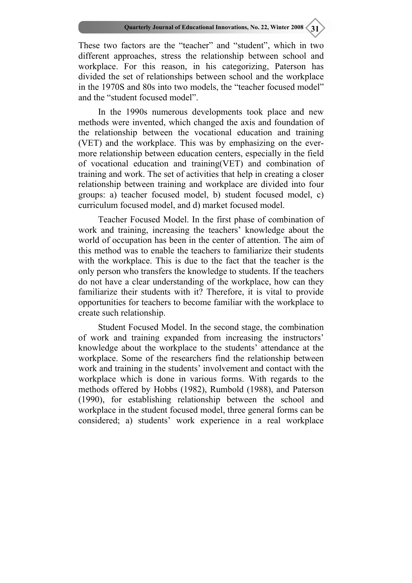These two factors are the "teacher" and "student", which in two different approaches, stress the relationship between school and workplace. For this reason, in his categorizing, Paterson has divided the set of relationships between school and the workplace in the 1970S and 80s into two models, the "teacher focused model" and the "student focused model".

In the 1990s numerous developments took place and new methods were invented, which changed the axis and foundation of the relationship between the vocational education and training (VET) and the workplace. This was by emphasizing on the evermore relationship between education centers, especially in the field of vocational education and training(VET) and combination of training and work. The set of activities that help in creating a closer relationship between training and workplace are divided into four groups: a) teacher focused model, b) student focused model, c) curriculum focused model, and d) market focused model.

Teacher Focused Model. In the first phase of combination of work and training, increasing the teachers' knowledge about the world of occupation has been in the center of attention. The aim of this method was to enable the teachers to familiarize their students with the workplace. This is due to the fact that the teacher is the only person who transfers the knowledge to students. If the teachers do not have a clear understanding of the workplace, how can they familiarize their students with it? Therefore, it is vital to provide opportunities for teachers to become familiar with the workplace to create such relationship.

Student Focused Model. In the second stage, the combination of work and training expanded from increasing the instructors' knowledge about the workplace to the students' attendance at the workplace. Some of the researchers find the relationship between work and training in the students' involvement and contact with the workplace which is done in various forms. With regards to the methods offered by Hobbs (1982), Rumbold (1988), and Paterson (1990), for establishing relationship between the school and workplace in the student focused model, three general forms can be considered; a) students' work experience in a real workplace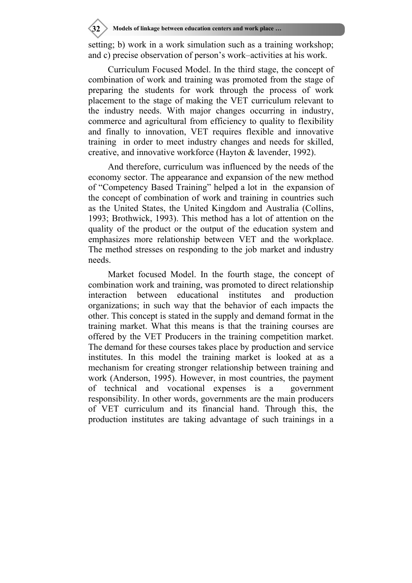setting; b) work in a work simulation such as a training workshop; and c) precise observation of person's work–activities at his work.

Curriculum Focused Model. In the third stage, the concept of combination of work and training was promoted from the stage of preparing the students for work through the process of work placement to the stage of making the VET curriculum relevant to the industry needs. With major changes occurring in industry, commerce and agricultural from efficiency to quality to flexibility and finally to innovation, VET requires flexible and innovative training in order to meet industry changes and needs for skilled, creative, and innovative workforce (Hayton & lavender, 1992).

And therefore, curriculum was influenced by the needs of the economy sector. The appearance and expansion of the new method of "Competency Based Training" helped a lot in the expansion of the concept of combination of work and training in countries such as the United States, the United Kingdom and Australia (Collins, 1993; Brothwick, 1993). This method has a lot of attention on the quality of the product or the output of the education system and emphasizes more relationship between VET and the workplace. The method stresses on responding to the job market and industry needs.

Market focused Model. In the fourth stage, the concept of combination work and training, was promoted to direct relationship interaction between educational institutes and production organizations; in such way that the behavior of each impacts the other. This concept is stated in the supply and demand format in the training market. What this means is that the training courses are offered by the VET Producers in the training competition market. The demand for these courses takes place by production and service institutes. In this model the training market is looked at as a mechanism for creating stronger relationship between training and work (Anderson, 1995). However, in most countries, the payment of technical and vocational expenses is a government responsibility. In other words, governments are the main producers of VET curriculum and its financial hand. Through this, the production institutes are taking advantage of such trainings in a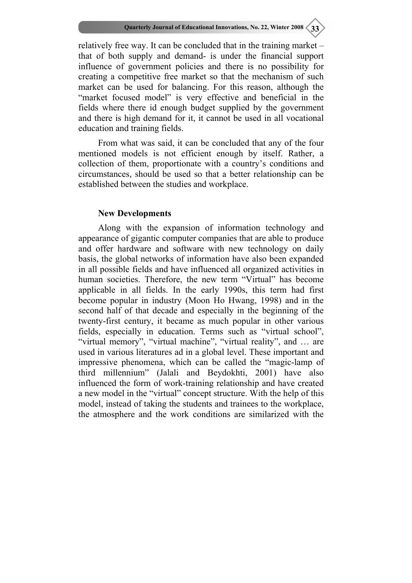relatively free way. It can be concluded that in the training market – that of both supply and demand- is under the financial support influence of government policies and there is no possibility for creating a competitive free market so that the mechanism of such market can be used for balancing. For this reason, although the "market focused model" is very effective and beneficial in the fields where there id enough budget supplied by the government and there is high demand for it, it cannot be used in all vocational education and training fields.

From what was said, it can be concluded that any of the four mentioned models is not efficient enough by itself. Rather, a collection of them, proportionate with a country's conditions and circumstances, should be used so that a better relationship can be established between the studies and workplace.

## **New Developments**

Along with the expansion of information technology and appearance of gigantic computer companies that are able to produce and offer hardware and software with new technology on daily basis, the global networks of information have also been expanded in all possible fields and have influenced all organized activities in human societies. Therefore, the new term "Virtual" has become applicable in all fields. In the early 1990s, this term had first become popular in industry (Moon Ho Hwang, 1998) and in the second half of that decade and especially in the beginning of the twenty-first century, it became as much popular in other various fields, especially in education. Terms such as "virtual school", "virtual memory", "virtual machine", "virtual reality", and ... are used in various literatures ad in a global level. These important and impressive phenomena, which can be called the "magic-lamp of third millennium" (Jalali and Beydokhti, 2001) have also influenced the form of work-training relationship and have created a new model in the "virtual" concept structure. With the help of this model, instead of taking the students and trainees to the workplace, the atmosphere and the work conditions are similarized with the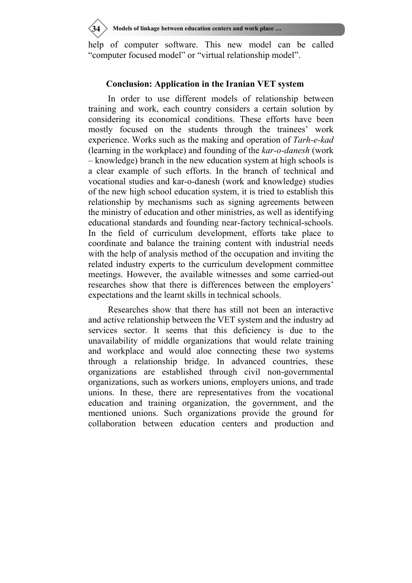**34 Models of linkage between education centers and work place …**

help of computer software. This new model can be called "computer focused model" or "virtual relationship model".

# **Conclusion: Application in the Iranian VET system**

In order to use different models of relationship between training and work, each country considers a certain solution by considering its economical conditions. These efforts have been mostly focused on the students through the trainees' work experience. Works such as the making and operation of *Tarh-e-kad*  (learning in the workplace) and founding of the *kar-o-danesh* (work – knowledge) branch in the new education system at high schools is a clear example of such efforts. In the branch of technical and vocational studies and kar-o-danesh (work and knowledge) studies of the new high school education system, it is tried to establish this relationship by mechanisms such as signing agreements between the ministry of education and other ministries, as well as identifying educational standards and founding near-factory technical-schools. In the field of curriculum development, efforts take place to coordinate and balance the training content with industrial needs with the help of analysis method of the occupation and inviting the related industry experts to the curriculum development committee meetings. However, the available witnesses and some carried-out researches show that there is differences between the employers' expectations and the learnt skills in technical schools.

Researches show that there has still not been an interactive and active relationship between the VET system and the industry ad services sector. It seems that this deficiency is due to the unavailability of middle organizations that would relate training and workplace and would aloe connecting these two systems through a relationship bridge. In advanced countries, these organizations are established through civil non-governmental organizations, such as workers unions, employers unions, and trade unions. In these, there are representatives from the vocational education and training organization, the government, and the mentioned unions. Such organizations provide the ground for collaboration between education centers and production and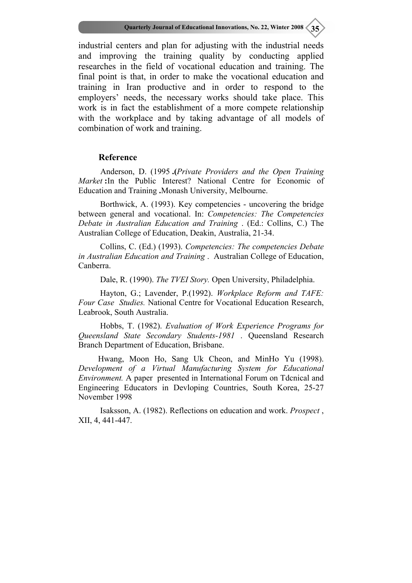industrial centers and plan for adjusting with the industrial needs and improving the training quality by conducting applied researches in the field of vocational education and training. The final point is that, in order to make the vocational education and training in Iran productive and in order to respond to the employers' needs, the necessary works should take place. This work is in fact the establishment of a more compete relationship with the workplace and by taking advantage of all models of combination of work and training.

### **Reference**

Anderson, D. (1995 **.(***Private Providers and the Open Training Market* : In the Public Interest? National Centre for Economic of Education and Training **.**Monash University, Melbourne.

 Borthwick, A. (1993). Key competencies - uncovering the bridge between general and vocational. In: *Competencies: The Competencies Debate in Australian Education and Training* . (Ed.: Collins, C.) The Australian College of Education, Deakin, Australia, 21-34.

 Collins, C. (Ed.) (1993). *Competencies: The competencies Debate in Australian Education and Training* . Australian College of Education, Canberra.

Dale, R. (1990). *The TVEI Story.* Open University, Philadelphia.

 Hayton, G.; Lavender, P.(1992). *Workplace Reform and TAFE: Four Case Studies.* National Centre for Vocational Education Research, Leabrook, South Australia.

 Hobbs, T. (1982). *Evaluation of Work Experience Programs for Queensland State Secondary Students-1981* . Queensland Research Branch Department of Education, Brisbane.

Hwang, Moon Ho, Sang Uk Cheon, and MinHo Yu (1998). *Development of a Virtual Manufacturing System for Educational Environment.* A paper presented in International Forum on Tdcnical and Engineering Educators in Devloping Countries, South Korea, 25-27 November 1998

 Isaksson, A. (1982). Reflections on education and work. *Prospect* , XII, 4, 441-447.